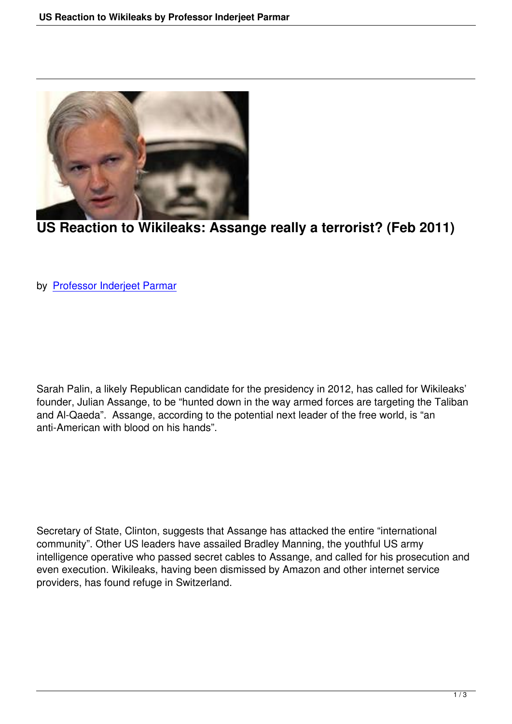

## **US Reaction to Wikileaks: Assange really a terrorist? (Feb 2011)**

by Professor Inderjeet Parmar

Sarah Palin, a likely Republican candidate for the presidency in 2012, has called for Wikileaks' founder, Julian Assange, to be "hunted down in the way armed forces are targeting the Taliban and Al-Qaeda". Assange, according to the potential next leader of the free world, is "an anti-American with blood on his hands".

Secretary of State, Clinton, suggests that Assange has attacked the entire "international community". Other US leaders have assailed Bradley Manning, the youthful US army intelligence operative who passed secret cables to Assange, and called for his prosecution and even execution. Wikileaks, having been dismissed by Amazon and other internet service providers, has found refuge in Switzerland.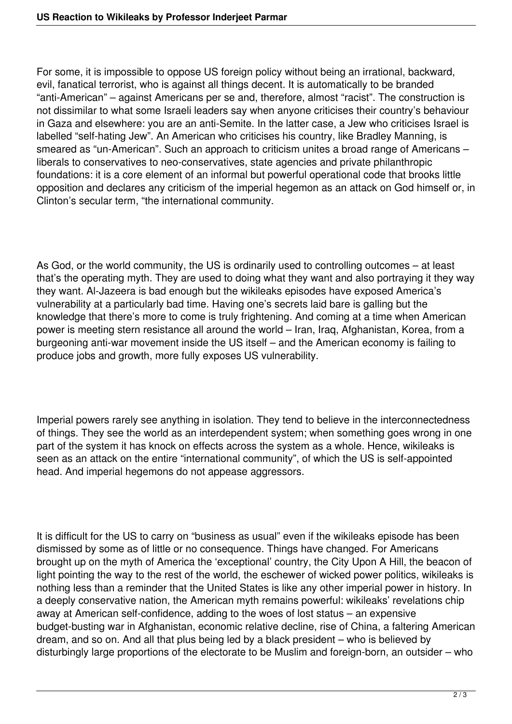For some, it is impossible to oppose US foreign policy without being an irrational, backward, evil, fanatical terrorist, who is against all things decent. It is automatically to be branded "anti-American" – against Americans per se and, therefore, almost "racist". The construction is not dissimilar to what some Israeli leaders say when anyone criticises their country's behaviour in Gaza and elsewhere: you are an anti-Semite. In the latter case, a Jew who criticises Israel is labelled "self-hating Jew". An American who criticises his country, like Bradley Manning, is smeared as "un-American". Such an approach to criticism unites a broad range of Americans – liberals to conservatives to neo-conservatives, state agencies and private philanthropic foundations: it is a core element of an informal but powerful operational code that brooks little opposition and declares any criticism of the imperial hegemon as an attack on God himself or, in Clinton's secular term, "the international community.

As God, or the world community, the US is ordinarily used to controlling outcomes – at least that's the operating myth. They are used to doing what they want and also portraying it they way they want. Al-Jazeera is bad enough but the wikileaks episodes have exposed America's vulnerability at a particularly bad time. Having one's secrets laid bare is galling but the knowledge that there's more to come is truly frightening. And coming at a time when American power is meeting stern resistance all around the world – Iran, Iraq, Afghanistan, Korea, from a burgeoning anti-war movement inside the US itself – and the American economy is failing to produce jobs and growth, more fully exposes US vulnerability.

Imperial powers rarely see anything in isolation. They tend to believe in the interconnectedness of things. They see the world as an interdependent system; when something goes wrong in one part of the system it has knock on effects across the system as a whole. Hence, wikileaks is seen as an attack on the entire "international community", of which the US is self-appointed head. And imperial hegemons do not appease aggressors.

It is difficult for the US to carry on "business as usual" even if the wikileaks episode has been dismissed by some as of little or no consequence. Things have changed. For Americans brought up on the myth of America the 'exceptional' country, the City Upon A Hill, the beacon of light pointing the way to the rest of the world, the eschewer of wicked power politics, wikileaks is nothing less than a reminder that the United States is like any other imperial power in history. In a deeply conservative nation, the American myth remains powerful: wikileaks' revelations chip away at American self-confidence, adding to the woes of lost status – an expensive budget-busting war in Afghanistan, economic relative decline, rise of China, a faltering American dream, and so on. And all that plus being led by a black president – who is believed by disturbingly large proportions of the electorate to be Muslim and foreign-born, an outsider – who